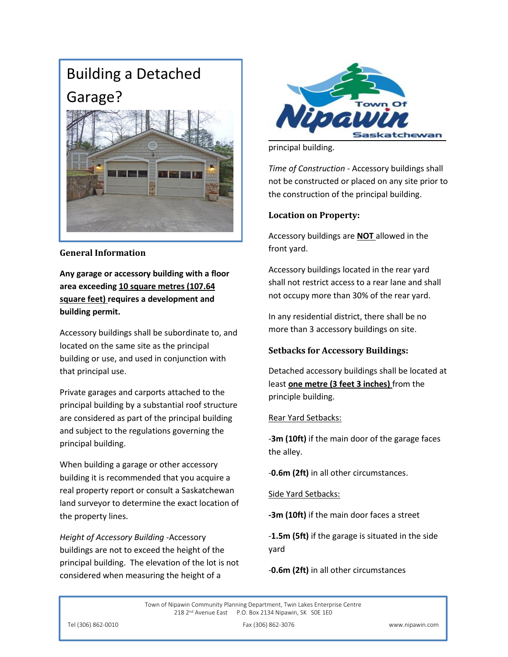# Building a Detached Garage?



### **General Information**

**Any garage or accessory building with a floor area exceeding 10 square metres (107.64 square feet) requires a development and building permit.**

Accessory buildings shall be subordinate to, and located on the same site as the principal building or use, and used in conjunction with that principal use.

Private garages and carports attached to the principal building by a substantial roof structure are considered as part of the principal building and subject to the regulations governing the principal building.

When building a garage or other accessory building it is recommended that you acquire a real property report or consult a Saskatchewan land surveyor to determine the exact location of the property lines.

*Height of Accessory Building* -Accessory buildings are not to exceed the height of the principal building. The elevation of the lot is not considered when measuring the height of a



principal building.

*Time of Construction* - Accessory buildings shall not be constructed or placed on any site prior to the construction of the principal building.

#### **Location on Property:**

Accessory buildings are **NOT** allowed in the front yard.

Accessory buildings located in the rear yard shall not restrict access to a rear lane and shall not occupy more than 30% of the rear yard.

In any residential district, there shall be no more than 3 accessory buildings on site.

#### **Setbacks for Accessory Buildings:**

Detached accessory buildings shall be located at least **one metre (3 feet 3 inches)** from the principle building.

#### Rear Yard Setbacks:

-**3m (10ft)** if the main door of the garage faces the alley.

-**0.6m (2ft)** in all other circumstances.

Side Yard Setbacks:

**-3m (10ft)** if the main door faces a street

-**1.5m (5ft)** if the garage is situated in the side yard

-**0.6m (2ft)** in all other circumstances

Town of Nipawin Community Planning Department, Twin Lakes Enterprise Centre 218 2<sup>nd</sup> Avenue East P.O. Box 2134 Nipawin, SK SOE 1E0

Tel (306) 862-0010 Fax (306) 862-3076 www.nipawin.com